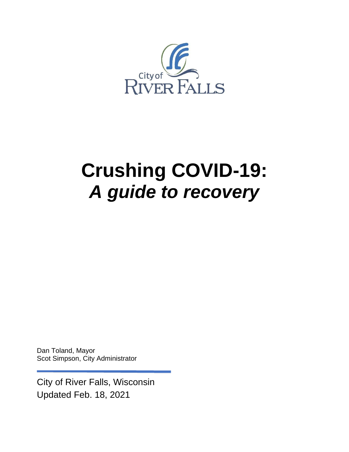

# **Crushing COVID-19:** *A guide to recovery*

Dan Toland, Mayor Scot Simpson, City Administrator

City of River Falls, Wisconsin Updated Feb. 18, 2021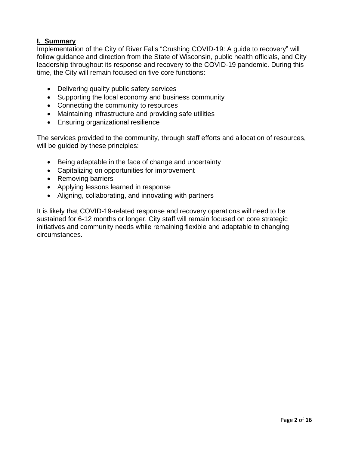#### **I. Summary**

Implementation of the City of River Falls "Crushing COVID-19: A guide to recovery" will follow guidance and direction from the State of Wisconsin, public health officials, and City leadership throughout its response and recovery to the COVID-19 pandemic. During this time, the City will remain focused on five core functions:

- Delivering quality public safety services
- Supporting the local economy and business community
- Connecting the community to resources
- Maintaining infrastructure and providing safe utilities
- Ensuring organizational resilience

The services provided to the community, through staff efforts and allocation of resources, will be guided by these principles:

- Being adaptable in the face of change and uncertainty
- Capitalizing on opportunities for improvement
- Removing barriers
- Applying lessons learned in response
- Aligning, collaborating, and innovating with partners

It is likely that COVID-19-related response and recovery operations will need to be sustained for 6-12 months or longer. City staff will remain focused on core strategic initiatives and community needs while remaining flexible and adaptable to changing circumstances.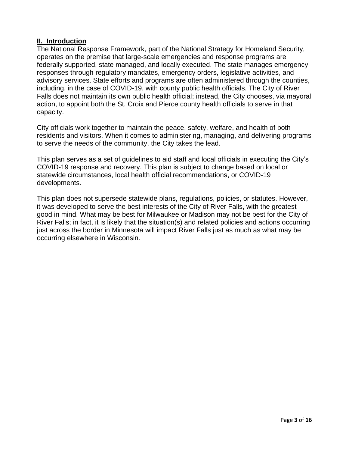#### **II. Introduction**

The National Response Framework, part of the National Strategy for Homeland Security, operates on the premise that large-scale emergencies and response programs are federally supported, state managed, and locally executed. The state manages emergency responses through regulatory mandates, emergency orders, legislative activities, and advisory services. State efforts and programs are often administered through the counties, including, in the case of COVID-19, with county public health officials. The City of River Falls does not maintain its own public health official; instead, the City chooses, via mayoral action, to appoint both the St. Croix and Pierce county health officials to serve in that capacity.

City officials work together to maintain the peace, safety, welfare, and health of both residents and visitors. When it comes to administering, managing, and delivering programs to serve the needs of the community, the City takes the lead.

This plan serves as a set of guidelines to aid staff and local officials in executing the City's COVID-19 response and recovery. This plan is subject to change based on local or statewide circumstances, local health official recommendations, or COVID-19 developments.

This plan does not supersede statewide plans, regulations, policies, or statutes. However, it was developed to serve the best interests of the City of River Falls, with the greatest good in mind. What may be best for Milwaukee or Madison may not be best for the City of River Falls; in fact, it is likely that the situation(s) and related policies and actions occurring just across the border in Minnesota will impact River Falls just as much as what may be occurring elsewhere in Wisconsin.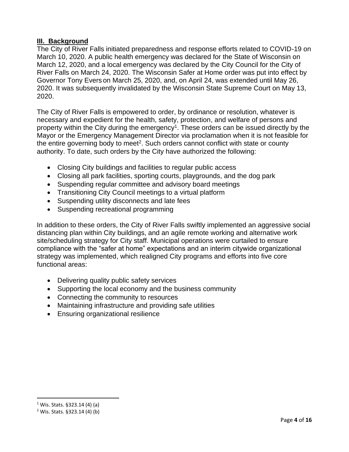#### **III. Background**

The City of River Falls initiated preparedness and response efforts related to COVID-19 on March 10, 2020. A public health emergency was declared for the State of Wisconsin on March 12, 2020, and a local emergency was declared by the City Council for the City of River Falls on March 24, 2020. The Wisconsin Safer at Home order was put into effect by Governor Tony Evers on March 25, 2020, and, on April 24, was extended until May 26, 2020. It was subsequently invalidated by the Wisconsin State Supreme Court on May 13, 2020.

The City of River Falls is empowered to order, by ordinance or resolution, whatever is necessary and expedient for the health, safety, protection, and welfare of persons and property within the City during the emergency<sup>1</sup>. These orders can be issued directly by the Mayor or the Emergency Management Director via proclamation when it is not feasible for the entire governing body to meet<sup>2</sup>. Such orders cannot conflict with state or county authority. To date, such orders by the City have authorized the following:

- Closing City buildings and facilities to regular public access
- Closing all park facilities, sporting courts, playgrounds, and the dog park
- Suspending regular committee and advisory board meetings
- Transitioning City Council meetings to a virtual platform
- Suspending utility disconnects and late fees
- Suspending recreational programming

In addition to these orders, the City of River Falls swiftly implemented an aggressive social distancing plan within City buildings, and an agile remote working and alternative work site/scheduling strategy for City staff. Municipal operations were curtailed to ensure compliance with the "safer at home" expectations and an interim citywide organizational strategy was implemented, which realigned City programs and efforts into five core functional areas:

- Delivering quality public safety services
- Supporting the local economy and the business community
- Connecting the community to resources
- Maintaining infrastructure and providing safe utilities
- Ensuring organizational resilience

<sup>1</sup> Wis. Stats. §323.14 (4) (a)

<sup>2</sup> Wis. Stats. §323.14 (4) (b)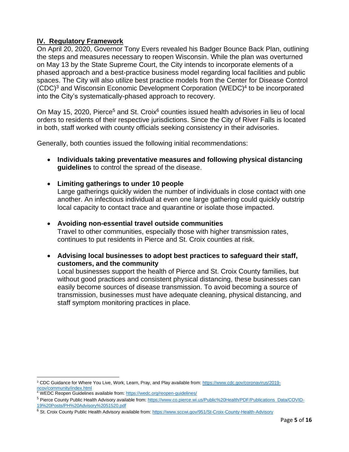#### **IV. Regulatory Framework**

On April 20, 2020, Governor Tony Evers revealed his Badger Bounce Back Plan, outlining the steps and measures necessary to reopen Wisconsin. While the plan was overturned on May 13 by the State Supreme Court, the City intends to incorporate elements of a phased approach and a best-practice business model regarding local facilities and public spaces. The City will also utilize best practice models from the Center for Disease Control (CDC) <sup>3</sup> and Wisconsin Economic Development Corporation (WEDC) 4 to be incorporated into the City's systematically-phased approach to recovery.

On May 15, 2020, Pierce<sup>5</sup> and St. Croix<sup>6</sup> counties issued health advisories in lieu of local orders to residents of their respective jurisdictions. Since the City of River Falls is located in both, staff worked with county officials seeking consistency in their advisories.

Generally, both counties issued the following initial recommendations:

- **Individuals taking preventative measures and following physical distancing guidelines** to control the spread of the disease.
- **Limiting gatherings to under 10 people**

Large gatherings quickly widen the number of individuals in close contact with one another. An infectious individual at even one large gathering could quickly outstrip local capacity to contact trace and quarantine or isolate those impacted.

- **Avoiding non-essential travel outside communities** Travel to other communities, especially those with higher transmission rates, continues to put residents in Pierce and St. Croix counties at risk.
- **Advising local businesses to adopt best practices to safeguard their staff, customers, and the community**

Local businesses support the health of Pierce and St. Croix County families, but without good practices and consistent physical distancing, these businesses can easily become sources of disease transmission. To avoid becoming a source of transmission, businesses must have adequate cleaning, physical distancing, and staff symptom monitoring practices in place.

<sup>3</sup> CDC Guidance for Where You Live, Work, Learn, Pray, and Play available from: [https://www.cdc.gov/coronavirus/2019](https://www.cdc.gov/coronavirus/2019-ncov/community/index.html) [ncov/community/index.html](https://www.cdc.gov/coronavirus/2019-ncov/community/index.html)

<sup>4</sup> WEDC Reopen Guidelines available from:<https://wedc.org/reopen-guidelines/>

<sup>5</sup> Pierce County Public Health Advisory available from: [https://www.co.pierce.wi.us/Public%20Health/PDF/Publications\\_Data/COVID-](https://www.co.pierce.wi.us/Public%20Health/PDF/Publications_Data/COVID-19%20Posts/PH%20Advisory%2051520.pdf)[19%20Posts/PH%20Advisory%2051520.pdf](https://www.co.pierce.wi.us/Public%20Health/PDF/Publications_Data/COVID-19%20Posts/PH%20Advisory%2051520.pdf)

<sup>&</sup>lt;sup>6</sup> St. Croix County Public Health Advisory available from:<https://www.sccwi.gov/951/St-Croix-County-Health-Advisory>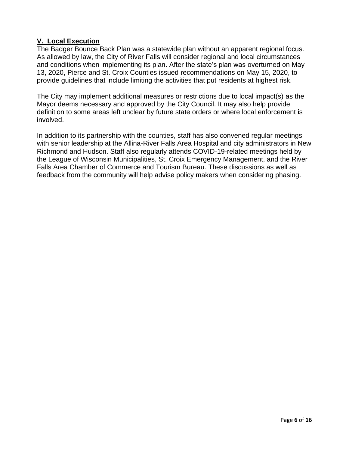#### **V. Local Execution**

The Badger Bounce Back Plan was a statewide plan without an apparent regional focus. As allowed by law, the City of River Falls will consider regional and local circumstances and conditions when implementing its plan. After the state's plan was overturned on May 13, 2020, Pierce and St. Croix Counties issued recommendations on May 15, 2020, to provide guidelines that include limiting the activities that put residents at highest risk.

The City may implement additional measures or restrictions due to local impact(s) as the Mayor deems necessary and approved by the City Council. It may also help provide definition to some areas left unclear by future state orders or where local enforcement is involved.

In addition to its partnership with the counties, staff has also convened regular meetings with senior leadership at the Allina-River Falls Area Hospital and city administrators in New Richmond and Hudson. Staff also regularly attends COVID-19-related meetings held by the League of Wisconsin Municipalities, St. Croix Emergency Management, and the River Falls Area Chamber of Commerce and Tourism Bureau. These discussions as well as feedback from the community will help advise policy makers when considering phasing.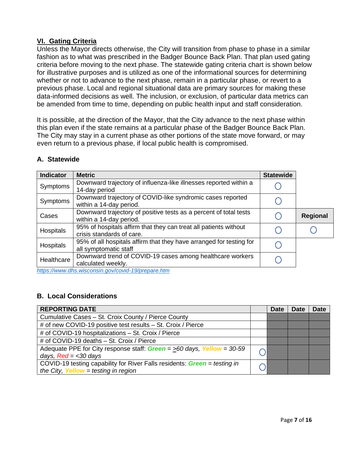#### **VI. Gating Criteria**

Unless the Mayor directs otherwise, the City will transition from phase to phase in a similar fashion as to what was prescribed in the Badger Bounce Back Plan. That plan used gating criteria before moving to the next phase. The statewide gating criteria chart is shown below for illustrative purposes and is utilized as one of the informational sources for determining whether or not to advance to the next phase, remain in a particular phase, or revert to a previous phase. Local and regional situational data are primary sources for making these data-informed decisions as well. The inclusion, or exclusion, of particular data metrics can be amended from time to time, depending on public health input and staff consideration.

It is possible, at the direction of the Mayor, that the City advance to the next phase within this plan even if the state remains at a particular phase of the Badger Bounce Back Plan. The City may stay in a current phase as other portions of the state move forward, or may even return to a previous phase, if local public health is compromised.

| <b>Indicator</b> | <b>Metric</b>                                                                                                                         | <b>Statewide</b> |                 |
|------------------|---------------------------------------------------------------------------------------------------------------------------------------|------------------|-----------------|
| Symptoms         | Downward trajectory of influenza-like illnesses reported within a<br>14-day period                                                    |                  |                 |
| Symptoms         | Downward trajectory of COVID-like syndromic cases reported<br>within a 14-day period.                                                 |                  |                 |
| Cases            | Downward trajectory of positive tests as a percent of total tests<br>within a 14-day period.                                          |                  | <b>Regional</b> |
| Hospitals        | 95% of hospitals affirm that they can treat all patients without<br>crisis standards of care.                                         |                  |                 |
| Hospitals        | 95% of all hospitals affirm that they have arranged for testing for<br>all symptomatic staff                                          |                  |                 |
| Healthcare       | Downward trend of COVID-19 cases among healthcare workers<br>calculated weekly.<br>https://www.dho.wisespoin.gov/covid 10/propers.htm |                  |                 |

#### **A. Statewide**

*<https://www.dhs.wisconsin.gov/covid-19/prepare.htm>* 

#### **B. Local Considerations**

| <b>REPORTING DATE</b>                                                     | <b>Date</b> | <b>Date</b> | <b>Date</b> |
|---------------------------------------------------------------------------|-------------|-------------|-------------|
| Cumulative Cases - St. Croix County / Pierce County                       |             |             |             |
| # of new COVID-19 positive test results - St. Croix / Pierce              |             |             |             |
| # of COVID-19 hospitalizations - St. Croix / Pierce                       |             |             |             |
| # of COVID-19 deaths - St. Croix / Pierce                                 |             |             |             |
| Adequate PPE for City response staff: $Green = >60$ days, Yellow = 30-59  |             |             |             |
| days, $Red = < 30$ days                                                   |             |             |             |
| COVID-19 testing capability for River Falls residents: Green = testing in |             |             |             |
| the City, Yellow = testing in region                                      |             |             |             |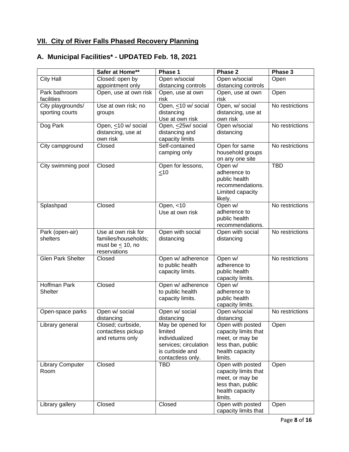## **VII. City of River Falls Phased Recovery Planning**

## **A. Municipal Facilities\* - UPDATED Feb. 18, 2021**

|                                 | Safer at Home**                       | Phase 1                       | Phase 2                                  | Phase 3         |
|---------------------------------|---------------------------------------|-------------------------------|------------------------------------------|-----------------|
| <b>City Hall</b>                | Closed: open by                       | Open w/social                 | Open w/social                            | Open            |
|                                 | appointment only                      | distancing controls           | distancing controls                      |                 |
| Park bathroom                   | Open, use at own risk                 | Open, use at own              | Open, use at own                         | Open            |
| facilities                      |                                       | risk                          | risk                                     |                 |
| City playgrounds/               | Use at own risk; no                   | Open, <10 w/ social           | Open, w/ social                          | No restrictions |
| sporting courts                 | groups                                | distancing<br>Use at own risk | distancing, use at<br>own risk           |                 |
| Dog Park                        | Open, <10 w/ social                   | Open, <25w/ social            | Open w/social                            | No restrictions |
|                                 | distancing, use at                    | distancing and                | distancing                               |                 |
|                                 | own risk                              | capacity limits               |                                          |                 |
| City campground                 | Closed                                | Self-contained                | Open for same                            | No restrictions |
|                                 |                                       | camping only                  | household groups                         |                 |
|                                 |                                       |                               | on any one site                          |                 |
| City swimming pool              | Closed                                | Open for lessons,             | Open w/                                  | <b>TBD</b>      |
|                                 |                                       | <10                           | adherence to                             |                 |
|                                 |                                       |                               | public health<br>recommendations.        |                 |
|                                 |                                       |                               | Limited capacity                         |                 |
|                                 |                                       |                               | likely.                                  |                 |
| Splashpad                       | Closed                                | Open, <10                     | Open w/                                  | No restrictions |
|                                 |                                       | Use at own risk               | adherence to                             |                 |
|                                 |                                       |                               | public health                            |                 |
|                                 |                                       |                               | recommendations.                         |                 |
| Park (open-air)                 | Use at own risk for                   | Open with social              | Open with social                         | No restrictions |
| shelters                        | families/households;                  | distancing                    | distancing                               |                 |
|                                 | must be $\leq$ 10, no<br>reservations |                               |                                          |                 |
| <b>Glen Park Shelter</b>        | Closed                                | Open w/ adherence             | Open w/                                  | No restrictions |
|                                 |                                       | to public health              | adherence to                             |                 |
|                                 |                                       | capacity limits.              | public health                            |                 |
|                                 |                                       |                               | capacity limits.                         |                 |
| Hoffman Park                    | Closed                                | Open w/ adherence             | Open w/                                  |                 |
| <b>Shelter</b>                  |                                       | to public health              | adherence to                             |                 |
|                                 |                                       | capacity limits.              | public health<br>capacity limits.        |                 |
| Open-space parks                | Open w/ social                        | Open w/ social                | Open w/social                            | No restrictions |
|                                 | distancing                            | distancing                    | distancing                               |                 |
| Library general                 | Closed; curbside,                     | May be opened for             | Open with posted                         | Open            |
|                                 | contactless pickup                    | limited                       | capacity limits that                     |                 |
|                                 | and returns only                      | individualized                | meet, or may be                          |                 |
|                                 |                                       | services; circulation         | less than, public                        |                 |
|                                 |                                       | is curbside and               | health capacity                          |                 |
|                                 | Closed                                | contactless only.             | limits.                                  |                 |
| <b>Library Computer</b><br>Room |                                       | TBD                           | Open with posted<br>capacity limits that | Open            |
|                                 |                                       |                               | meet, or may be                          |                 |
|                                 |                                       |                               | less than, public                        |                 |
|                                 |                                       |                               | health capacity                          |                 |
|                                 |                                       |                               | limits.                                  |                 |
| Library gallery                 | Closed                                | Closed                        | Open with posted                         | Open            |
|                                 |                                       |                               | capacity limits that                     |                 |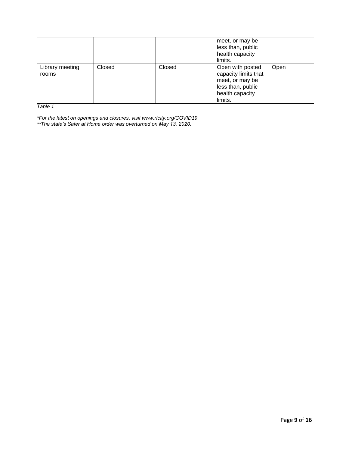|                          |        |        | meet, or may be<br>less than, public<br>health capacity<br>limits.                                             |      |
|--------------------------|--------|--------|----------------------------------------------------------------------------------------------------------------|------|
| Library meeting<br>rooms | Closed | Closed | Open with posted<br>capacity limits that<br>meet, or may be<br>less than, public<br>health capacity<br>limits. | Open |

*Table 1*

*\*For the latest on openings and closures, visit www.rfcity.org/COVID19 \*\*The state's Safer at Home order was overturned on May 13, 2020.*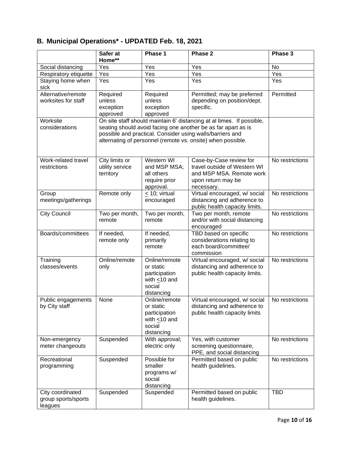# **B. Municipal Operations\* - UPDATED Feb. 18, 2021**

|                              | Safer at        | Phase 1                                                                                                                                                                                   | Phase 2                                                               | Phase 3         |
|------------------------------|-----------------|-------------------------------------------------------------------------------------------------------------------------------------------------------------------------------------------|-----------------------------------------------------------------------|-----------------|
|                              | Home**          |                                                                                                                                                                                           |                                                                       |                 |
| Social distancing            | Yes             | Yes                                                                                                                                                                                       | Yes                                                                   | No              |
| Respiratory etiquette        | Yes             | Yes                                                                                                                                                                                       | Yes                                                                   | Yes             |
| Staying home when<br>sick    | Yes             | Yes                                                                                                                                                                                       | Yes                                                                   | Yes             |
| Alternative/remote           | Required        | Required                                                                                                                                                                                  | Permitted; may be preferred                                           | Permitted       |
| worksites for staff          | unless          | unless                                                                                                                                                                                    | depending on position/dept.                                           |                 |
|                              | exception       | exception                                                                                                                                                                                 | specific.                                                             |                 |
|                              | approved        | approved                                                                                                                                                                                  |                                                                       |                 |
| Worksite                     |                 |                                                                                                                                                                                           | On site staff should maintain 6' distancing at al times. If possible, |                 |
| considerations               |                 | seating should avoid facing one another be as far apart as is<br>possible and practical. Consider using walls/barriers and<br>alternating of personnel (remote vs. onsite) when possible. |                                                                       |                 |
| Work-related travel          | City limits or  | Western WI                                                                                                                                                                                | Case-by-Case review for                                               | No restrictions |
| restrictions                 | utility service | and MSP MSA;                                                                                                                                                                              | travel outside of Western WI                                          |                 |
|                              | territory       | all others                                                                                                                                                                                | and MSP MSA. Remote work                                              |                 |
|                              |                 | require prior                                                                                                                                                                             | upon return may be                                                    |                 |
|                              |                 | approval.                                                                                                                                                                                 | necessary.                                                            | No restrictions |
| Group<br>meetings/gatherings | Remote only     | $\leq$ 10; virtual<br>encouraged                                                                                                                                                          | Virtual encouraged, w/ social<br>distancing and adherence to          |                 |
|                              |                 |                                                                                                                                                                                           | public health capacity limits.                                        |                 |
| <b>City Council</b>          | Two per month,  | Two per month,                                                                                                                                                                            | Two per month, remote                                                 | No restrictions |
|                              | remote          | remote                                                                                                                                                                                    | and/or with social distancing                                         |                 |
|                              |                 |                                                                                                                                                                                           | encouraged                                                            |                 |
| Boards/committees            | If needed,      | If needed,                                                                                                                                                                                | TBD based on specific                                                 | No restrictions |
|                              | remote only     | primarily                                                                                                                                                                                 | considerations relating to                                            |                 |
|                              |                 | remote                                                                                                                                                                                    | each board/committee/                                                 |                 |
|                              |                 |                                                                                                                                                                                           | commission                                                            |                 |
| Training                     | Online/remote   | Online/remote                                                                                                                                                                             | Virtual encouraged, w/ social                                         | No restrictions |
| classes/events               | only            | or static                                                                                                                                                                                 | distancing and adherence to                                           |                 |
|                              |                 | participation<br>with $\leq 10$ and                                                                                                                                                       | public health capacity limits.                                        |                 |
|                              |                 | social                                                                                                                                                                                    |                                                                       |                 |
|                              |                 | distancing                                                                                                                                                                                |                                                                       |                 |
| Public engagements           | None            | Online/remote                                                                                                                                                                             | Virtual encouraged, w/ social                                         | No restrictions |
| by City staff                |                 | or static                                                                                                                                                                                 | distancing and adherence to                                           |                 |
|                              |                 | participation                                                                                                                                                                             | public health capacity limits                                         |                 |
|                              |                 | with $\leq 10$ and                                                                                                                                                                        |                                                                       |                 |
|                              |                 | social                                                                                                                                                                                    |                                                                       |                 |
|                              |                 | distancing                                                                                                                                                                                |                                                                       |                 |
| Non-emergency                | Suspended       | With approval;                                                                                                                                                                            | Yes, with customer                                                    | No restrictions |
| meter changeouts             |                 | electric only                                                                                                                                                                             | screening questionnaire,<br>PPE, and social distancing                |                 |
| Recreational                 | Suspended       | Possible for                                                                                                                                                                              | Permitted based on public                                             | No restrictions |
| programming                  |                 | smaller                                                                                                                                                                                   | health guidelines.                                                    |                 |
|                              |                 | programs w/                                                                                                                                                                               |                                                                       |                 |
|                              |                 | social                                                                                                                                                                                    |                                                                       |                 |
|                              |                 | distancing                                                                                                                                                                                |                                                                       |                 |
| City coordinated             | Suspended       | Suspended                                                                                                                                                                                 | Permitted based on public                                             | <b>TBD</b>      |
| group sports/sports          |                 |                                                                                                                                                                                           | health guidelines.                                                    |                 |
| leagues                      |                 |                                                                                                                                                                                           |                                                                       |                 |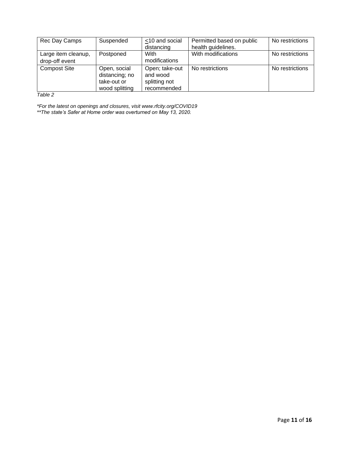| Rec Day Camps                         | Suspended                                                       | <10 and social<br>distancing                               | Permitted based on public<br>health guidelines. | No restrictions |
|---------------------------------------|-----------------------------------------------------------------|------------------------------------------------------------|-------------------------------------------------|-----------------|
| Large item cleanup,<br>drop-off event | Postponed                                                       | With<br>modifications                                      | With modifications                              | No restrictions |
| <b>Compost Site</b>                   | Open, social<br>distancing; no<br>take-out or<br>wood splitting | Open; take-out<br>and wood<br>splitting not<br>recommended | No restrictions                                 | No restrictions |

*Table 2*

*\*For the latest on openings and closures, visit www.rfcity.org/COVID19 \*\*The state's Safer at Home order was overturned on May 13, 2020.*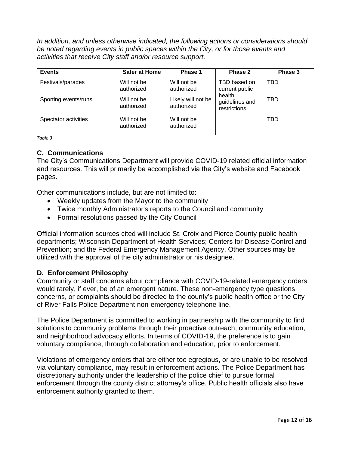*In addition, and unless otherwise indicated, the following actions or considerations should be noted regarding events in public spaces within the City, or for those events and activities that receive City staff and/or resource support.*

| <b>Events</b>        | <b>Safer at Home</b>      | Phase 1                          | Phase 2                                  | Phase 3    |
|----------------------|---------------------------|----------------------------------|------------------------------------------|------------|
| Festivals/parades    | Will not be<br>authorized | Will not be<br>authorized        | TBD based on<br>current public<br>health | TBD        |
| Sporting events/runs | Will not be<br>authorized | Likely will not be<br>authorized | guidelines and<br>restrictions           | TBD        |
| Spectator activities | Will not be<br>authorized | Will not be<br>authorized        |                                          | <b>TBD</b> |

*Table 3*

#### **C. Communications**

The City's Communications Department will provide COVID-19 related official information and resources. This will primarily be accomplished via the City's website and Facebook pages.

Other communications include, but are not limited to:

- Weekly updates from the Mayor to the community
- Twice monthly Administrator's reports to the Council and community
- Formal resolutions passed by the City Council

Official information sources cited will include St. Croix and Pierce County public health departments; Wisconsin Department of Health Services; Centers for Disease Control and Prevention; and the Federal Emergency Management Agency. Other sources may be utilized with the approval of the city administrator or his designee.

#### **D. Enforcement Philosophy**

Community or staff concerns about compliance with COVID-19-related emergency orders would rarely, if ever, be of an emergent nature. These non-emergency type questions, concerns, or complaints should be directed to the county's public health office or the City of River Falls Police Department non-emergency telephone line.

The Police Department is committed to working in partnership with the community to find solutions to community problems through their proactive outreach, community education, and neighborhood advocacy efforts. In terms of COVID-19, the preference is to gain voluntary compliance, through collaboration and education, prior to enforcement.

Violations of emergency orders that are either too egregious, or are unable to be resolved via voluntary compliance, may result in enforcement actions. The Police Department has discretionary authority under the leadership of the police chief to pursue formal enforcement through the county district attorney's office. Public health officials also have enforcement authority granted to them.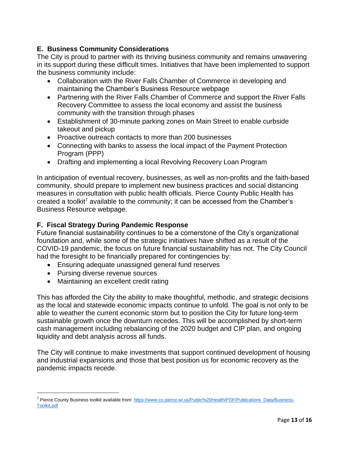#### **E. Business Community Considerations**

The City is proud to partner with its thriving business community and remains unwavering in its support during these difficult times. Initiatives that have been implemented to support the business community include:

- Collaboration with the River Falls Chamber of Commerce in developing and maintaining the Chamber's Business Resource webpage
- Partnering with the River Falls Chamber of Commerce and support the River Falls Recovery Committee to assess the local economy and assist the business community with the transition through phases
- Establishment of 30-minute parking zones on Main Street to enable curbside takeout and pickup
- Proactive outreach contacts to more than 200 businesses
- Connecting with banks to assess the local impact of the Payment Protection Program (PPP)
- Drafting and implementing a local Revolving Recovery Loan Program

In anticipation of eventual recovery, businesses, as well as non-profits and the faith-based community, should prepare to implement new business practices and social distancing measures in consultation with public health officials. Pierce County Public Health has created a toolkit<sup>7</sup> available to the community; it can be accessed from the Chamber's Business Resource webpage.

#### **F. Fiscal Strategy During Pandemic Response**

Future financial sustainability continues to be a cornerstone of the City's organizational foundation and, while some of the strategic initiatives have shifted as a result of the COVID-19 pandemic, the focus on future financial sustainability has not. The City Council had the foresight to be financially prepared for contingencies by:

- Ensuring adequate unassigned general fund reserves
- Pursing diverse revenue sources
- Maintaining an excellent credit rating

This has afforded the City the ability to make thoughtful, methodic, and strategic decisions as the local and statewide economic impacts continue to unfold. The goal is not only to be able to weather the current economic storm but to position the City for future long-term sustainable growth once the downturn recedes. This will be accomplished by short-term cash management including rebalancing of the 2020 budget and CIP plan, and ongoing liquidity and debt analysis across all funds.

The City will continue to make investments that support continued development of housing and industrial expansions and those that best position us for economic recovery as the pandemic impacts recede.

<sup>&</sup>lt;sup>7</sup> Pierce County Business toolkit available from: [https://www.co.pierce.wi.us/Public%20Health/PDF/Publications\\_Data/Business-](https://www.co.pierce.wi.us/Public%20Health/PDF/Publications_Data/Business-Toolkit.pdf)[Toolkit.pdf](https://www.co.pierce.wi.us/Public%20Health/PDF/Publications_Data/Business-Toolkit.pdf)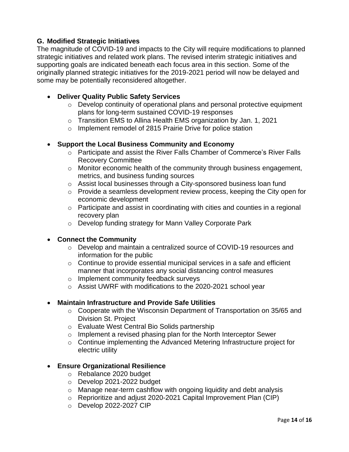#### **G. Modified Strategic Initiatives**

The magnitude of COVID-19 and impacts to the City will require modifications to planned strategic initiatives and related work plans. The revised interim strategic initiatives and supporting goals are indicated beneath each focus area in this section. Some of the originally planned strategic initiatives for the 2019-2021 period will now be delayed and some may be potentially reconsidered altogether.

#### • **Deliver Quality Public Safety Services**

- o Develop continuity of operational plans and personal protective equipment plans for long-term sustained COVID-19 responses
- o Transition EMS to Allina Health EMS organization by Jan. 1, 2021
- o Implement remodel of 2815 Prairie Drive for police station

#### • **Support the Local Business Community and Economy**

- o Participate and assist the River Falls Chamber of Commerce's River Falls Recovery Committee
- o Monitor economic health of the community through business engagement, metrics, and business funding sources
- o Assist local businesses through a City-sponsored business loan fund
- o Provide a seamless development review process, keeping the City open for economic development
- o Participate and assist in coordinating with cities and counties in a regional recovery plan
- o Develop funding strategy for Mann Valley Corporate Park

#### • **Connect the Community**

- o Develop and maintain a centralized source of COVID-19 resources and information for the public
- o Continue to provide essential municipal services in a safe and efficient manner that incorporates any social distancing control measures
- o Implement community feedback surveys
- o Assist UWRF with modifications to the 2020-2021 school year

#### • **Maintain Infrastructure and Provide Safe Utilities**

- o Cooperate with the Wisconsin Department of Transportation on 35/65 and Division St. Project
- o Evaluate West Central Bio Solids partnership
- o Implement a revised phasing plan for the North Interceptor Sewer
- o Continue implementing the Advanced Metering Infrastructure project for electric utility

#### • **Ensure Organizational Resilience**

- o Rebalance 2020 budget
- o Develop 2021-2022 budget
- o Manage near-term cashflow with ongoing liquidity and debt analysis
- o Reprioritize and adjust 2020-2021 Capital Improvement Plan (CIP)
- o Develop 2022-2027 CIP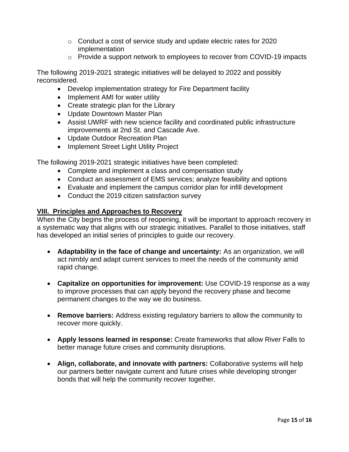- o Conduct a cost of service study and update electric rates for 2020 implementation
- o Provide a support network to employees to recover from COVID-19 impacts

The following 2019-2021 strategic initiatives will be delayed to 2022 and possibly reconsidered.

- Develop implementation strategy for Fire Department facility
- Implement AMI for water utility
- Create strategic plan for the Library
- Update Downtown Master Plan
- Assist UWRF with new science facility and coordinated public infrastructure improvements at 2nd St. and Cascade Ave.
- Update Outdoor Recreation Plan
- Implement Street Light Utility Project

The following 2019-2021 strategic initiatives have been completed:

- Complete and implement a class and compensation study
- Conduct an assessment of EMS services; analyze feasibility and options
- Evaluate and implement the campus corridor plan for infill development
- Conduct the 2019 citizen satisfaction survey

#### **VIII. Principles and Approaches to Recovery**

When the City begins the process of reopening, it will be important to approach recovery in a systematic way that aligns with our strategic initiatives. Parallel to those initiatives, staff has developed an initial series of principles to guide our recovery.

- **Adaptability in the face of change and uncertainty:** As an organization, we will act nimbly and adapt current services to meet the needs of the community amid rapid change.
- **Capitalize on opportunities for improvement:** Use COVID-19 response as a way to improve processes that can apply beyond the recovery phase and become permanent changes to the way we do business.
- **Remove barriers:** Address existing regulatory barriers to allow the community to recover more quickly.
- **Apply lessons learned in response:** Create frameworks that allow River Falls to better manage future crises and community disruptions.
- **Align, collaborate, and innovate with partners:** Collaborative systems will help our partners better navigate current and future crises while developing stronger bonds that will help the community recover together.